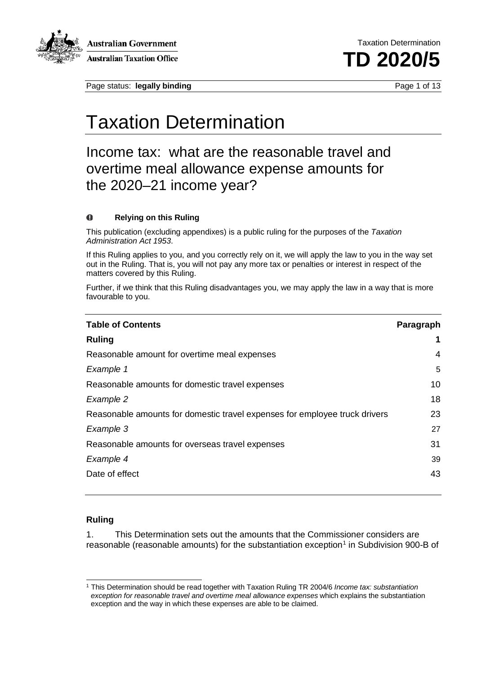

**Australian Government Australian Taxation Office** 

Page status: **legally binding** Page 1 of 13

Taxation Determination **TD 2020/5**

## Taxation Determination

Income tax: what are the reasonable travel and overtime meal allowance expense amounts for the 2020–21 income year?

#### $\bf{0}$ **Relying on this Ruling**

This publication (excluding appendixes) is a public ruling for the purposes of the *Taxation Administration Act 1953*.

If this Ruling applies to you, and you correctly rely on it, we will apply the law to you in the way set out in the Ruling. That is, you will not pay any more tax or penalties or interest in respect of the matters covered by this Ruling.

Further, if we think that this Ruling disadvantages you, we may apply the law in a way that is more favourable to you.

| <b>Table of Contents</b>                                                   | Paragraph |
|----------------------------------------------------------------------------|-----------|
| <b>Ruling</b>                                                              | 1         |
| Reasonable amount for overtime meal expenses                               | 4         |
| Example 1                                                                  | 5         |
| Reasonable amounts for domestic travel expenses                            | 10        |
| Example 2                                                                  | 18        |
| Reasonable amounts for domestic travel expenses for employee truck drivers | 23        |
| Example 3                                                                  | 27        |
| Reasonable amounts for overseas travel expenses                            | 31        |
| Example 4                                                                  | 39        |
| Date of effect                                                             | 43        |

#### **Ruling**

1. This Determination sets out the amounts that the Commissioner considers are reasonable (reasonable amounts) for the substantiation exception<sup>[1](#page-0-0)</sup> in Subdivision 900-B of

<span id="page-0-0"></span><sup>1</sup> This Determination should be read together with Taxation Ruling TR 2004/6 *Income tax: substantiation exception for reasonable travel and overtime meal allowance expenses* which explains the substantiation exception and the way in which these expenses are able to be claimed.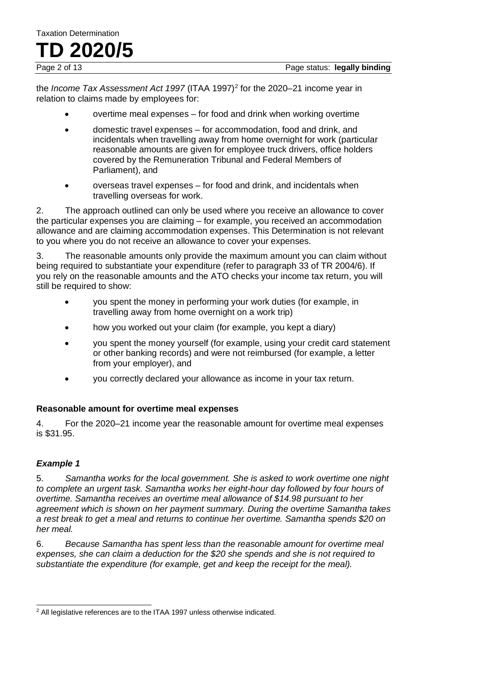the *Income Tax Assessment Act 1997* (ITAA 1997)<sup>[2](#page-1-0)</sup> for the 2020–21 income year in relation to claims made by employees for:

- overtime meal expenses for food and drink when working overtime
- domestic travel expenses for accommodation, food and drink, and incidentals when travelling away from home overnight for work (particular reasonable amounts are given for employee truck drivers, office holders covered by the Remuneration Tribunal and Federal Members of Parliament), and
- overseas travel expenses for food and drink, and incidentals when travelling overseas for work.

2. The approach outlined can only be used where you receive an allowance to cover the particular expenses you are claiming – for example, you received an accommodation allowance and are claiming accommodation expenses. This Determination is not relevant to you where you do not receive an allowance to cover your expenses.

3. The reasonable amounts only provide the maximum amount you can claim without being required to substantiate your expenditure (refer to paragraph 33 of TR 2004/6). If you rely on the reasonable amounts and the ATO checks your income tax return, you will still be required to show:

- you spent the money in performing your work duties (for example, in travelling away from home overnight on a work trip)
- how you worked out your claim (for example, you kept a diary)
- you spent the money yourself (for example, using your credit card statement or other banking records) and were not reimbursed (for example, a letter from your employer), and
- you correctly declared your allowance as income in your tax return.

#### **Reasonable amount for overtime meal expenses**

4. For the 2020–21 income year the reasonable amount for overtime meal expenses is \$31.95.

#### *Example 1*

5. *Samantha works for the local government. She is asked to work overtime one night to complete an urgent task. Samantha works her eight-hour day followed by four hours of overtime. Samantha receives an overtime meal allowance of \$14.98 pursuant to her agreement which is shown on her payment summary. During the overtime Samantha takes a rest break to get a meal and returns to continue her overtime. Samantha spends \$20 on her meal.*

6. *Because Samantha has spent less than the reasonable amount for overtime meal expenses, she can claim a deduction for the \$20 she spends and she is not required to substantiate the expenditure (for example, get and keep the receipt for the meal).*

<span id="page-1-0"></span> $2$  All legislative references are to the ITAA 1997 unless otherwise indicated.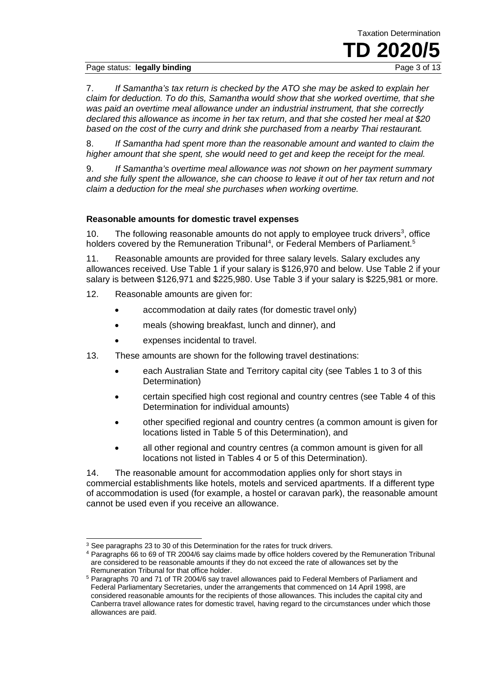#### Page status: **legally binding**

Taxation Determination **TD 2020/5** 

7. *If Samantha's tax return is checked by the ATO she may be asked to explain her claim for deduction. To do this, Samantha would show that she worked overtime, that she was paid an overtime meal allowance under an industrial instrument, that she correctly declared this allowance as income in her tax return, and that she costed her meal at \$20 based on the cost of the curry and drink she purchased from a nearby Thai restaurant.*

8. *If Samantha had spent more than the reasonable amount and wanted to claim the higher amount that she spent, she would need to get and keep the receipt for the meal.*

9. *If Samantha's overtime meal allowance was not shown on her payment summary and she fully spent the allowance, she can choose to leave it out of her tax return and not claim a deduction for the meal she purchases when working overtime.*

#### **Reasonable amounts for domestic travel expenses**

10. The following reasonable amounts do not apply to employee truck drivers<sup>[3](#page-2-0)</sup>, office holders covered by the Remuneration Tribunal<sup>[4](#page-2-1)</sup>, or Federal Members of Parliament.<sup>[5](#page-2-2)</sup>

11. Reasonable amounts are provided for three salary levels. Salary excludes any allowances received. Use Table 1 if your salary is \$126,970 and below. Use Table 2 if your salary is between \$126,971 and \$225,980. Use Table 3 if your salary is \$225,981 or more.

- 12. Reasonable amounts are given for:
	- accommodation at daily rates (for domestic travel only)
	- meals (showing breakfast, lunch and dinner), and
	- expenses incidental to travel.
- 13. These amounts are shown for the following travel destinations:
	- each Australian State and Territory capital city (see Tables 1 to 3 of this Determination)
	- certain specified high cost regional and country centres (see Table 4 of this Determination for individual amounts)
	- other specified regional and country centres (a common amount is given for locations listed in Table 5 of this Determination), and
	- all other regional and country centres (a common amount is given for all locations not listed in Tables 4 or 5 of this Determination).

14. The reasonable amount for accommodation applies only for short stays in commercial establishments like hotels, motels and serviced apartments. If a different type of accommodation is used (for example, a hostel or caravan park), the reasonable amount cannot be used even if you receive an allowance.

<span id="page-2-1"></span><span id="page-2-0"></span><sup>&</sup>lt;sup>3</sup> See paragraphs 23 to 30 of this Determination for the rates for truck drivers.

<sup>4</sup> Paragraphs 66 to 69 of TR 2004/6 say claims made by office holders covered by the Remuneration Tribunal are considered to be reasonable amounts if they do not exceed the rate of allowances set by the Remuneration Tribunal for that office holder.

<span id="page-2-2"></span><sup>5</sup> Paragraphs 70 and 71 of TR 2004/6 say travel allowances paid to Federal Members of Parliament and Federal Parliamentary Secretaries, under the arrangements that commenced on 14 April 1998, are considered reasonable amounts for the recipients of those allowances. This includes the capital city and Canberra travel allowance rates for domestic travel, having regard to the circumstances under which those allowances are paid.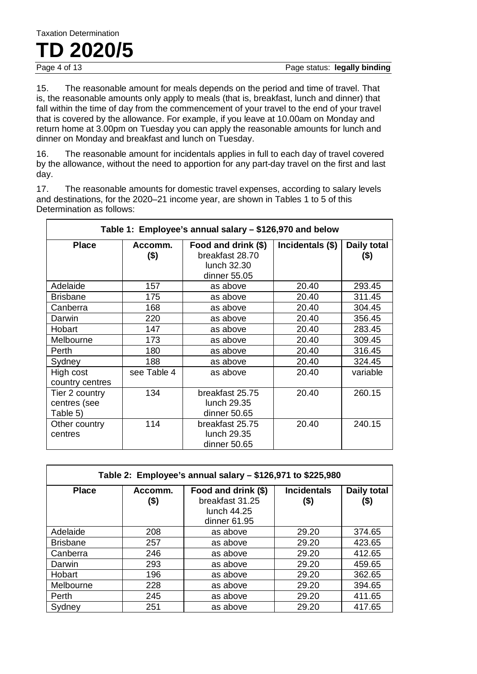## Taxation Determination **TD** 2020/5

15. The reasonable amount for meals depends on the period and time of travel. That is, the reasonable amounts only apply to meals (that is, breakfast, lunch and dinner) that fall within the time of day from the commencement of your travel to the end of your travel that is covered by the allowance. For example, if you leave at 10.00am on Monday and return home at 3.00pm on Tuesday you can apply the reasonable amounts for lunch and dinner on Monday and breakfast and lunch on Tuesday.

16. The reasonable amount for incidentals applies in full to each day of travel covered by the allowance, without the need to apportion for any part-day travel on the first and last day.

17. The reasonable amounts for domestic travel expenses, according to salary levels and destinations, for the 2020–21 income year, are shown in Tables 1 to 5 of this Determination as follows:

| Table 1: Employee's annual salary - \$126,970 and below |                    |                                                                       |                  |                       |
|---------------------------------------------------------|--------------------|-----------------------------------------------------------------------|------------------|-----------------------|
| <b>Place</b>                                            | Accomm.<br>$($ \$) | Food and drink (\$)<br>breakfast 28.70<br>lunch 32.30<br>dinner 55.05 | Incidentals (\$) | Daily total<br>$(\$)$ |
| Adelaide                                                | 157                | as above                                                              | 20.40            | 293.45                |
| <b>Brisbane</b>                                         | 175                | as above                                                              | 20.40            | 311.45                |
| Canberra                                                | 168                | as above                                                              | 20.40            | 304.45                |
| Darwin                                                  | 220                | as above                                                              | 20.40            | 356.45                |
| Hobart                                                  | 147                | as above                                                              | 20.40            | 283.45                |
| Melbourne                                               | 173                | as above                                                              | 20.40            | 309.45                |
| Perth                                                   | 180                | as above                                                              | 20.40            | 316.45                |
| Sydney                                                  | 188                | as above                                                              | 20.40            | 324.45                |
| High cost<br>country centres                            | see Table 4        | as above                                                              | 20.40            | variable              |
| Tier 2 country<br>centres (see<br>Table 5)              | 134                | breakfast 25.75<br>lunch 29.35<br>dinner 50.65                        | 20.40            | 260.15                |
| Other country<br>centres                                | 114                | breakfast 25.75<br>lunch 29.35<br>dinner 50.65                        | 20.40            | 240.15                |

| Table 2: Employee's annual salary - \$126,971 to \$225,980 |                    |                                                                       |                            |                     |
|------------------------------------------------------------|--------------------|-----------------------------------------------------------------------|----------------------------|---------------------|
| <b>Place</b>                                               | Accomm.<br>$($ \$) | Food and drink (\$)<br>breakfast 31.25<br>lunch 44.25<br>dinner 61.95 | <b>Incidentals</b><br>(\$) | Daily total<br>(\$) |
| Adelaide                                                   | 208                | as above                                                              | 29.20                      | 374.65              |
| <b>Brisbane</b>                                            | 257                | as above                                                              | 29.20                      | 423.65              |
| Canberra                                                   | 246                | as above                                                              | 29.20                      | 412.65              |
| Darwin                                                     | 293                | as above                                                              | 29.20                      | 459.65              |
| Hobart                                                     | 196                | as above                                                              | 29.20                      | 362.65              |
| Melbourne                                                  | 228                | as above                                                              | 29.20                      | 394.65              |
| Perth                                                      | 245                | as above                                                              | 29.20                      | 411.65              |
| Sydney                                                     | 251                | as above                                                              | 29.20                      | 417.65              |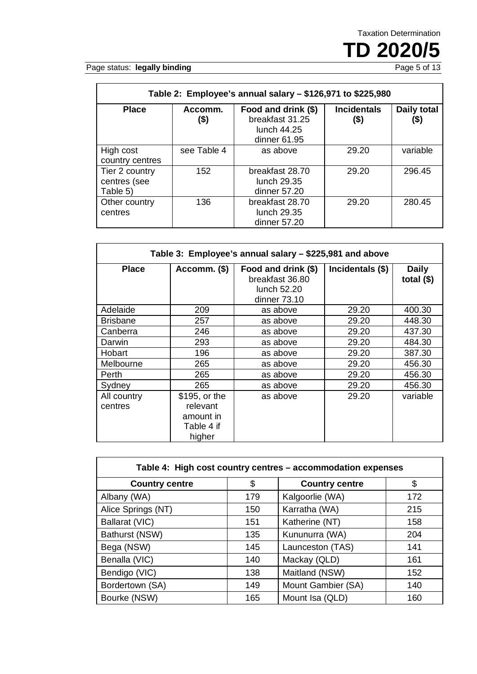TD 2020/5

Page status: legally binding

| Table 2: Employee's annual salary - \$126,971 to \$225,980 |                    |                                                                       |                            |                     |
|------------------------------------------------------------|--------------------|-----------------------------------------------------------------------|----------------------------|---------------------|
| <b>Place</b>                                               | Accomm.<br>$($ \$) | Food and drink (\$)<br>breakfast 31.25<br>lunch 44.25<br>dinner 61.95 | <b>Incidentals</b><br>(\$) | Daily total<br>(\$) |
| High cost<br>country centres                               | see Table 4        | as above                                                              | 29.20                      | variable            |
| Tier 2 country<br>centres (see<br>Table 5)                 | 152                | breakfast 28.70<br>lunch 29.35<br>dinner 57.20                        | 29.20                      | 296.45              |
| Other country<br>centres                                   | 136                | breakfast 28.70<br>lunch 29.35<br>dinner 57.20                        | 29.20                      | 280.45              |

| Table 3: Employee's annual salary – \$225,981 and above |                                                                |                                                                       |                  |                              |
|---------------------------------------------------------|----------------------------------------------------------------|-----------------------------------------------------------------------|------------------|------------------------------|
| <b>Place</b>                                            | Accomm. (\$)                                                   | Food and drink (\$)<br>breakfast 36.80<br>lunch 52.20<br>dinner 73.10 | Incidentals (\$) | <b>Daily</b><br>total $(\$)$ |
| Adelaide                                                | 209                                                            | as above                                                              | 29.20            | 400.30                       |
| <b>Brisbane</b>                                         | 257                                                            | as above                                                              | 29.20            | 448.30                       |
| Canberra                                                | 246                                                            | as above                                                              | 29.20            | 437.30                       |
| Darwin                                                  | 293                                                            | as above                                                              | 29.20            | 484.30                       |
| Hobart                                                  | 196                                                            | as above                                                              | 29.20            | 387.30                       |
| Melbourne                                               | 265                                                            | as above                                                              | 29.20            | 456.30                       |
| Perth                                                   | 265                                                            | as above                                                              | 29.20            | 456.30                       |
| Sydney                                                  | 265                                                            | as above                                                              | 29.20            | 456.30                       |
| All country<br>centres                                  | \$195, or the<br>relevant<br>amount in<br>Table 4 if<br>higher | as above                                                              | 29.20            | variable                     |

| Table 4: High cost country centres - accommodation expenses |     |                       |     |
|-------------------------------------------------------------|-----|-----------------------|-----|
| <b>Country centre</b>                                       | \$  | <b>Country centre</b> | \$  |
| Albany (WA)                                                 | 179 | Kalgoorlie (WA)       | 172 |
| Alice Springs (NT)                                          | 150 | Karratha (WA)         | 215 |
| Ballarat (VIC)                                              | 151 | Katherine (NT)        | 158 |
| Bathurst (NSW)                                              | 135 | Kununurra (WA)        | 204 |
| Bega (NSW)                                                  | 145 | Launceston (TAS)      | 141 |
| Benalla (VIC)                                               | 140 | Mackay (QLD)          | 161 |
| Bendigo (VIC)                                               | 138 | Maitland (NSW)        | 152 |
| Bordertown (SA)                                             | 149 | Mount Gambier (SA)    | 140 |
| Bourke (NSW)                                                | 165 | Mount Isa (QLD)       | 160 |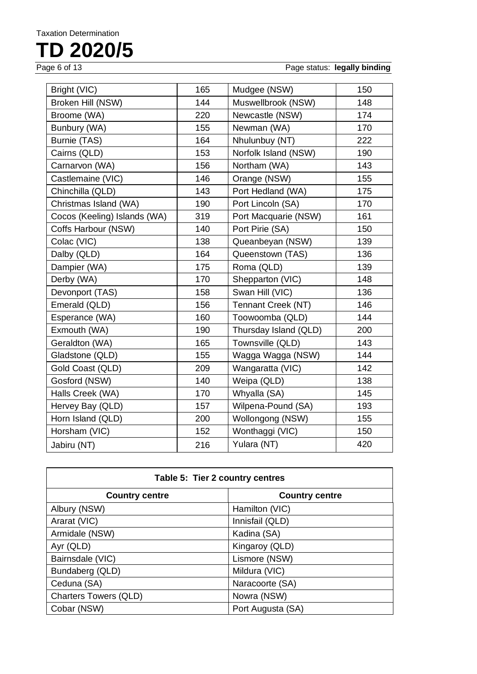# **TD** 2020/5

Page status: **legally binding** 

| Bright (VIC)                 | 165 | Mudgee (NSW)              | 150 |
|------------------------------|-----|---------------------------|-----|
| Broken Hill (NSW)            | 144 | Muswellbrook (NSW)        | 148 |
| Broome (WA)                  | 220 | Newcastle (NSW)           | 174 |
| Bunbury (WA)                 | 155 | Newman (WA)               | 170 |
| Burnie (TAS)                 | 164 | Nhulunbuy (NT)            | 222 |
| Cairns (QLD)                 | 153 | Norfolk Island (NSW)      | 190 |
| Carnarvon (WA)               | 156 | Northam (WA)              | 143 |
| Castlemaine (VIC)            | 146 | Orange (NSW)              | 155 |
| Chinchilla (QLD)             | 143 | Port Hedland (WA)         | 175 |
| Christmas Island (WA)        | 190 | Port Lincoln (SA)         | 170 |
| Cocos (Keeling) Islands (WA) | 319 | Port Macquarie (NSW)      | 161 |
| Coffs Harbour (NSW)          | 140 | Port Pirie (SA)           | 150 |
| Colac (VIC)                  | 138 | Queanbeyan (NSW)          | 139 |
| Dalby (QLD)                  | 164 | Queenstown (TAS)          | 136 |
| Dampier (WA)                 | 175 | Roma (QLD)                | 139 |
| Derby (WA)                   | 170 | Shepparton (VIC)          | 148 |
| Devonport (TAS)              | 158 | Swan Hill (VIC)           | 136 |
| Emerald (QLD)                | 156 | <b>Tennant Creek (NT)</b> | 146 |
| Esperance (WA)               | 160 | Toowoomba (QLD)           | 144 |
| Exmouth (WA)                 | 190 | Thursday Island (QLD)     | 200 |
| Geraldton (WA)               | 165 | Townsville (QLD)          | 143 |
| Gladstone (QLD)              | 155 | Wagga Wagga (NSW)         | 144 |
| Gold Coast (QLD)             | 209 | Wangaratta (VIC)          | 142 |
| Gosford (NSW)                | 140 | Weipa (QLD)               | 138 |
| Halls Creek (WA)             | 170 | Whyalla (SA)              | 145 |
| Hervey Bay (QLD)             | 157 | Wilpena-Pound (SA)        | 193 |
| Horn Island (QLD)            | 200 | Wollongong (NSW)          | 155 |
| Horsham (VIC)                | 152 | Wonthaggi (VIC)           | 150 |
| Jabiru (NT)                  | 216 | Yulara (NT)               | 420 |
|                              |     |                           |     |

| Table 5: Tier 2 country centres |                       |  |  |
|---------------------------------|-----------------------|--|--|
| <b>Country centre</b>           | <b>Country centre</b> |  |  |
| Albury (NSW)                    | Hamilton (VIC)        |  |  |
| Ararat (VIC)                    | Innisfail (QLD)       |  |  |
| Armidale (NSW)                  | Kadina (SA)           |  |  |
| Ayr (QLD)                       | Kingaroy (QLD)        |  |  |
| Bairnsdale (VIC)                | Lismore (NSW)         |  |  |
| Bundaberg (QLD)                 | Mildura (VIC)         |  |  |
| Ceduna (SA)                     | Naracoorte (SA)       |  |  |
| <b>Charters Towers (QLD)</b>    | Nowra (NSW)           |  |  |
| Cobar (NSW)                     | Port Augusta (SA)     |  |  |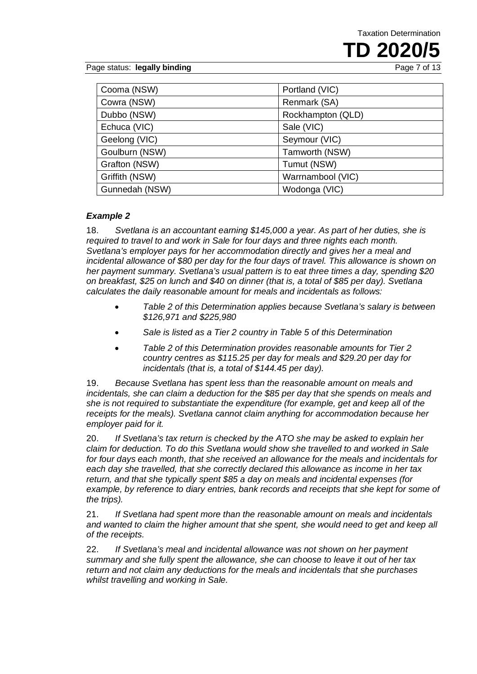**TD 2020/5** 

Page status: **legally binding** 

| Cooma (NSW)    | Portland (VIC)    |
|----------------|-------------------|
| Cowra (NSW)    | Renmark (SA)      |
| Dubbo (NSW)    | Rockhampton (QLD) |
| Echuca (VIC)   | Sale (VIC)        |
| Geelong (VIC)  | Seymour (VIC)     |
| Goulburn (NSW) | Tamworth (NSW)    |
| Grafton (NSW)  | Tumut (NSW)       |
| Griffith (NSW) | Warrnambool (VIC) |
| Gunnedah (NSW) | Wodonga (VIC)     |

#### *Example 2*

18. *Svetlana is an accountant earning \$145,000 a year. As part of her duties, she is required to travel to and work in Sale for four days and three nights each month. Svetlana's employer pays for her accommodation directly and gives her a meal and incidental allowance of \$80 per day for the four days of travel. This allowance is shown on her payment summary. Svetlana's usual pattern is to eat three times a day, spending \$20 on breakfast, \$25 on lunch and \$40 on dinner (that is, a total of \$85 per day). Svetlana calculates the daily reasonable amount for meals and incidentals as follows:*

- *Table 2 of this Determination applies because Svetlana's salary is between \$126,971 and \$225,980*
- *Sale is listed as a Tier 2 country in Table 5 of this Determination*
- *Table 2 of this Determination provides reasonable amounts for Tier 2 country centres as \$115.25 per day for meals and \$29.20 per day for incidentals (that is, a total of \$144.45 per day).*

19. *Because Svetlana has spent less than the reasonable amount on meals and incidentals, she can claim a deduction for the \$85 per day that she spends on meals and she is not required to substantiate the expenditure (for example, get and keep all of the receipts for the meals). Svetlana cannot claim anything for accommodation because her employer paid for it.*

20. *If Svetlana's tax return is checked by the ATO she may be asked to explain her claim for deduction. To do this Svetlana would show she travelled to and worked in Sale for four days each month, that she received an allowance for the meals and incidentals for each day she travelled, that she correctly declared this allowance as income in her tax return, and that she typically spent \$85 a day on meals and incidental expenses (for example, by reference to diary entries, bank records and receipts that she kept for some of the trips).*

21. *If Svetlana had spent more than the reasonable amount on meals and incidentals and wanted to claim the higher amount that she spent, she would need to get and keep all of the receipts.*

22. *If Svetlana's meal and incidental allowance was not shown on her payment summary and she fully spent the allowance, she can choose to leave it out of her tax return and not claim any deductions for the meals and incidentals that she purchases whilst travelling and working in Sale.*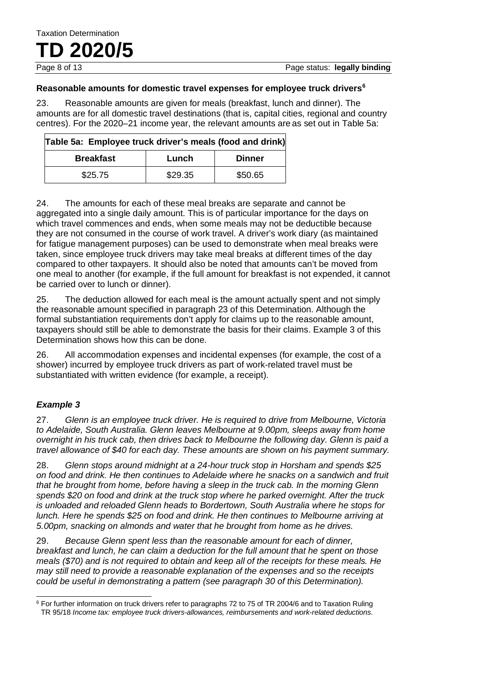#### **Reasonable amounts for domestic travel expenses for employee truck drivers[6](#page-7-0)**

23. Reasonable amounts are given for meals (breakfast, lunch and dinner). The amounts are for all domestic travel destinations (that is, capital cities, regional and country centres). For the 2020–21 income year, the relevant amounts are as set out in Table 5a:

| Table 5a: Employee truck driver's meals (food and drink) |         |         |  |
|----------------------------------------------------------|---------|---------|--|
| <b>Breakfast</b><br><b>Dinner</b><br>Lunch               |         |         |  |
| \$25.75                                                  | \$29.35 | \$50.65 |  |

24. The amounts for each of these meal breaks are separate and cannot be aggregated into a single daily amount. This is of particular importance for the days on which travel commences and ends, when some meals may not be deductible because they are not consumed in the course of work travel. A driver's work diary (as maintained for fatigue management purposes) can be used to demonstrate when meal breaks were taken, since employee truck drivers may take meal breaks at different times of the day compared to other taxpayers. It should also be noted that amounts can't be moved from one meal to another (for example, if the full amount for breakfast is not expended, it cannot be carried over to lunch or dinner).

25. The deduction allowed for each meal is the amount actually spent and not simply the reasonable amount specified in paragraph 23 of this Determination. Although the formal substantiation requirements don't apply for claims up to the reasonable amount, taxpayers should still be able to demonstrate the basis for their claims. Example 3 of this Determination shows how this can be done.

26. All accommodation expenses and incidental expenses (for example, the cost of a shower) incurred by employee truck drivers as part of work-related travel must be substantiated with written evidence (for example, a receipt).

#### *Example 3*

27. *Glenn is an employee truck driver. He is required to drive from Melbourne, Victoria to Adelaide, South Australia. Glenn leaves Melbourne at 9.00pm, sleeps away from home overnight in his truck cab, then drives back to Melbourne the following day. Glenn is paid a travel allowance of \$40 for each day. These amounts are shown on his payment summary.*

28. *Glenn stops around midnight at a 24-hour truck stop in Horsham and spends \$25 on food and drink. He then continues to Adelaide where he snacks on a sandwich and fruit that he brought from home, before having a sleep in the truck cab. In the morning Glenn spends \$20 on food and drink at the truck stop where he parked overnight. After the truck is unloaded and reloaded Glenn heads to Bordertown, South Australia where he stops for lunch. Here he spends \$25 on food and drink. He then continues to Melbourne arriving at 5.00pm, snacking on almonds and water that he brought from home as he drives.*

29. *Because Glenn spent less than the reasonable amount for each of dinner, breakfast and lunch, he can claim a deduction for the full amount that he spent on those meals (\$70) and is not required to obtain and keep all of the receipts for these meals. He may still need to provide a reasonable explanation of the expenses and so the receipts could be useful in demonstrating a pattern (see paragraph 30 of this Determination).*

<span id="page-7-0"></span><sup>6</sup> For further information on truck drivers refer to paragraphs 72 to 75 of TR 2004/6 and to Taxation Ruling TR 95/18 *Income tax: employee truck drivers-allowances, reimbursements and work-related deductions*.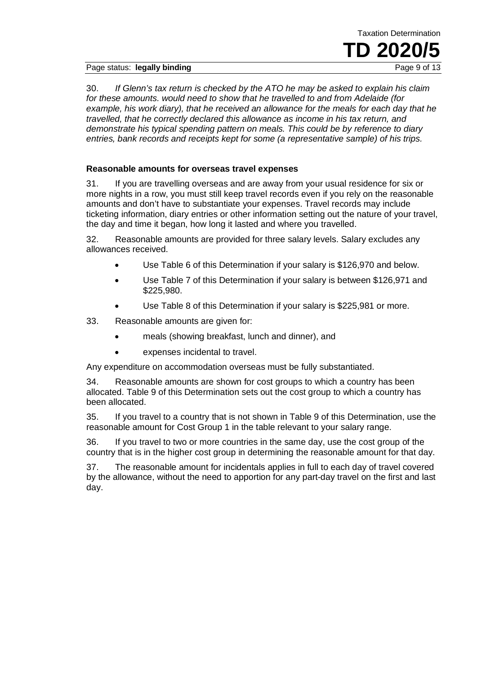Page status: **legally binding** 

30. *If Glenn's tax return is checked by the ATO he may be asked to explain his claim for these amounts. would need to show that he travelled to and from Adelaide (for example, his work diary), that he received an allowance for the meals for each day that he travelled, that he correctly declared this allowance as income in his tax return, and demonstrate his typical spending pattern on meals. This could be by reference to diary entries, bank records and receipts kept for some (a representative sample) of his trips.*

Taxation Determination

**TD 2020/5** 

#### **Reasonable amounts for overseas travel expenses**

31. If you are travelling overseas and are away from your usual residence for six or more nights in a row, you must still keep travel records even if you rely on the reasonable amounts and don't have to substantiate your expenses. Travel records may include ticketing information, diary entries or other information setting out the nature of your travel, the day and time it began, how long it lasted and where you travelled.

32. Reasonable amounts are provided for three salary levels. Salary excludes any allowances received.

- Use Table 6 of this Determination if your salary is \$126,970 and below.
- Use Table 7 of this Determination if your salary is between \$126,971 and \$225,980.
- Use Table 8 of this Determination if your salary is \$225,981 or more.
- 33. Reasonable amounts are given for:
	- meals (showing breakfast, lunch and dinner), and
	- expenses incidental to travel.

Any expenditure on accommodation overseas must be fully substantiated.

34. Reasonable amounts are shown for cost groups to which a country has been allocated. Table 9 of this Determination sets out the cost group to which a country has been allocated.

35. If you travel to a country that is not shown in Table 9 of this Determination, use the reasonable amount for Cost Group 1 in the table relevant to your salary range.

36. If you travel to two or more countries in the same day, use the cost group of the country that is in the higher cost group in determining the reasonable amount for that day.

37. The reasonable amount for incidentals applies in full to each day of travel covered by the allowance, without the need to apportion for any part-day travel on the first and last day.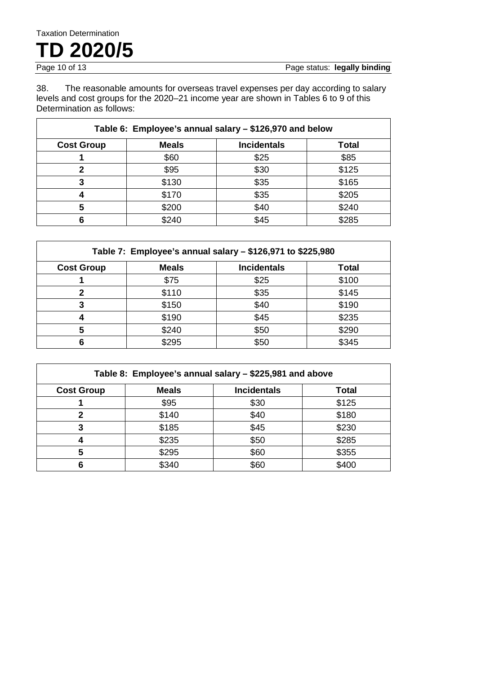## Taxation Determination **TD** 2020/5

38. The reasonable amounts for overseas travel expenses per day according to salary levels and cost groups for the 2020–21 income year are shown in Tables 6 to 9 of this Determination as follows:

| Table 6: Employee's annual salary - \$126,970 and below |              |                    |              |
|---------------------------------------------------------|--------------|--------------------|--------------|
| <b>Cost Group</b>                                       | <b>Meals</b> | <b>Incidentals</b> | <b>Total</b> |
|                                                         | \$60         | \$25               | \$85         |
| 2                                                       | \$95         | \$30               | \$125        |
| 3                                                       | \$130        | \$35               | \$165        |
|                                                         | \$170        | \$35               | \$205        |
| 5                                                       | \$200        | \$40               | \$240        |
| 6                                                       | \$240        | \$45               | \$285        |

|                   | Table 7: Employee's annual salary - \$126,971 to \$225,980 |                    |       |  |
|-------------------|------------------------------------------------------------|--------------------|-------|--|
| <b>Cost Group</b> | <b>Meals</b>                                               | <b>Incidentals</b> | Total |  |
|                   | \$75                                                       | \$25               | \$100 |  |
| 2                 | \$110                                                      | \$35               | \$145 |  |
| 3                 | \$150                                                      | \$40               | \$190 |  |
|                   | \$190                                                      | \$45               | \$235 |  |
| 5                 | \$240                                                      | \$50               | \$290 |  |
| 6                 | \$295                                                      | \$50               | \$345 |  |

| Table 8: Employee's annual salary - \$225,981 and above |              |                    |              |  |  |  |
|---------------------------------------------------------|--------------|--------------------|--------------|--|--|--|
| <b>Cost Group</b>                                       | <b>Meals</b> | <b>Incidentals</b> | <b>Total</b> |  |  |  |
|                                                         | \$95         | \$30               | \$125        |  |  |  |
| 2                                                       | \$140        | \$40               | \$180        |  |  |  |
|                                                         | \$185        | \$45               | \$230        |  |  |  |
|                                                         | \$235        | \$50               | \$285        |  |  |  |
| 5                                                       | \$295        | \$60               | \$355        |  |  |  |
|                                                         | \$340        | \$60               | \$400        |  |  |  |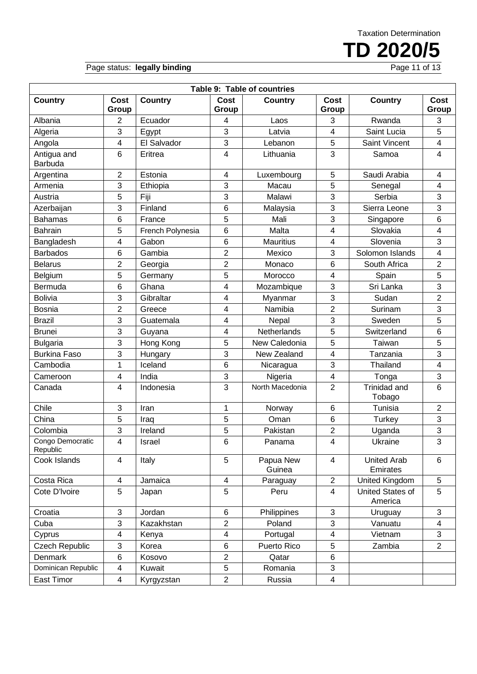TD 2020/5

Page status: legally binding

| Table 9: Table of countries  |                      |                  |                         |                     |                         |                                |                         |  |  |
|------------------------------|----------------------|------------------|-------------------------|---------------------|-------------------------|--------------------------------|-------------------------|--|--|
| <b>Country</b>               | <b>Cost</b><br>Group | <b>Country</b>   | Cost<br>Group           | Country             | Cost<br>Group           | <b>Country</b>                 | <b>Cost</b><br>Group    |  |  |
| Albania                      | 2                    | Ecuador          | 4                       | Laos                | 3                       | Rwanda                         | 3                       |  |  |
| Algeria                      | 3                    | Egypt            | 3                       | Latvia              | 4                       | Saint Lucia                    | 5                       |  |  |
| Angola                       | 4                    | El Salvador      | 3                       | Lebanon             | 5                       | Saint Vincent                  | 4                       |  |  |
| Antigua and<br>Barbuda       | $6\phantom{1}$       | Eritrea          | 4                       | Lithuania           | 3                       | Samoa                          | 4                       |  |  |
| Argentina                    | $\overline{2}$       | Estonia          | 4                       | Luxembourg          | 5                       | Saudi Arabia                   | 4                       |  |  |
| Armenia                      | 3                    | Ethiopia         | 3                       | Macau               | 5                       | Senegal                        | 4                       |  |  |
| Austria                      | 5                    | Fiji             | 3                       | Malawi              | 3                       | Serbia                         | 3                       |  |  |
| Azerbaijan                   | 3                    | Finland          | 6                       | Malaysia            | 3                       | Sierra Leone                   | 3                       |  |  |
| <b>Bahamas</b>               | $6\phantom{1}$       | France           | 5                       | Mali                | 3                       | Singapore                      | $6\phantom{1}$          |  |  |
| <b>Bahrain</b>               | 5                    | French Polynesia | 6                       | Malta               | 4                       | Slovakia                       | 4                       |  |  |
| Bangladesh                   | 4                    | Gabon            | 6                       | <b>Mauritius</b>    | 4                       | Slovenia                       | 3                       |  |  |
| <b>Barbados</b>              | $6\phantom{1}$       | Gambia           | $\overline{2}$          | Mexico              | 3                       | Solomon Islands                | 4                       |  |  |
| <b>Belarus</b>               | 2                    | Georgia          | $\overline{\mathbf{c}}$ | Monaco              | 6                       | South Africa                   | $\overline{2}$          |  |  |
| Belgium                      | 5                    | Germany          | 5                       | Morocco             | 4                       | Spain                          | 5                       |  |  |
| Bermuda                      | $6\phantom{1}$       | Ghana            | 4                       | Mozambique          | 3                       | Sri Lanka                      | 3                       |  |  |
| <b>Bolivia</b>               | 3                    | Gibraltar        | 4                       | Myanmar             | 3                       | Sudan                          | $\overline{2}$          |  |  |
| <b>Bosnia</b>                | $\overline{2}$       | Greece           | 4                       | Namibia             | $\overline{2}$          | Surinam                        | 3                       |  |  |
| <b>Brazil</b>                | 3                    | Guatemala        | 4                       | Nepal               | 3                       | Sweden                         | 5                       |  |  |
| <b>Brunei</b>                | 3                    | Guyana           | 4                       | Netherlands         | 5                       | Switzerland                    | $6\phantom{1}$          |  |  |
| <b>Bulgaria</b>              | 3                    | Hong Kong        | 5                       | New Caledonia       | 5                       | Taiwan                         | 5                       |  |  |
| <b>Burkina Faso</b>          | 3                    | Hungary          | 3                       | New Zealand         | 4                       | Tanzania                       | 3                       |  |  |
| Cambodia                     | 1                    | Iceland          | 6                       | Nicaragua           | 3                       | Thailand                       | $\overline{4}$          |  |  |
| Cameroon                     | 4                    | India            | 3                       | Nigeria             | $\overline{\mathbf{4}}$ | Tonga                          | 3                       |  |  |
| Canada                       | 4                    | Indonesia        | 3                       | North Macedonia     | $\overline{2}$          | Trinidad and<br>Tobago         | $6\phantom{1}$          |  |  |
| Chile                        | 3                    | Iran             | 1                       | Norway              | 6                       | Tunisia                        | $\overline{2}$          |  |  |
| China                        | 5                    | Iraq             | 5                       | Oman                | 6                       | Turkey                         | 3                       |  |  |
| Colombia                     | 3                    | Ireland          | 5                       | Pakistan            | $\overline{c}$          | Uganda                         | 3                       |  |  |
| Congo Democratic<br>Republic | $\overline{4}$       | Israel           | 6                       | Panama              | $\overline{\mathbf{4}}$ | Ukraine                        | 3                       |  |  |
| Cook Islands                 | $\overline{4}$       | Italy            | 5                       | Papua New<br>Guinea | 4                       | <b>United Arab</b><br>Emirates | $6\phantom{a}$          |  |  |
| Costa Rica                   | $\overline{4}$       | Jamaica          | $\overline{\mathbf{4}}$ | Paraguay            | $\overline{2}$          | United Kingdom                 | 5                       |  |  |
| Cote D'Ivoire                | $\overline{5}$       | Japan            | 5                       | Peru                | 4                       | United States of<br>America    | 5                       |  |  |
| Croatia                      | 3                    | Jordan           | 6                       | Philippines         | 3                       | Uruguay                        | 3                       |  |  |
| Cuba                         | 3                    | Kazakhstan       | $\overline{2}$          | Poland              | 3                       | Vanuatu                        | $\overline{\mathbf{4}}$ |  |  |
| Cyprus                       | 4                    | Kenya            | 4                       | Portugal            | 4                       | Vietnam                        | 3                       |  |  |
| <b>Czech Republic</b>        | 3                    | Korea            | 6                       | Puerto Rico         | 5                       | Zambia                         | $\overline{2}$          |  |  |
| <b>Denmark</b>               | $\,6$                | Kosovo           | $\overline{c}$          | Qatar               | 6                       |                                |                         |  |  |
| Dominican Republic           | $\overline{4}$       | Kuwait           | 5                       | Romania             | 3                       |                                |                         |  |  |
| East Timor                   | $\overline{4}$       | Kyrgyzstan       | $\overline{2}$          | Russia              | $\overline{\mathbf{4}}$ |                                |                         |  |  |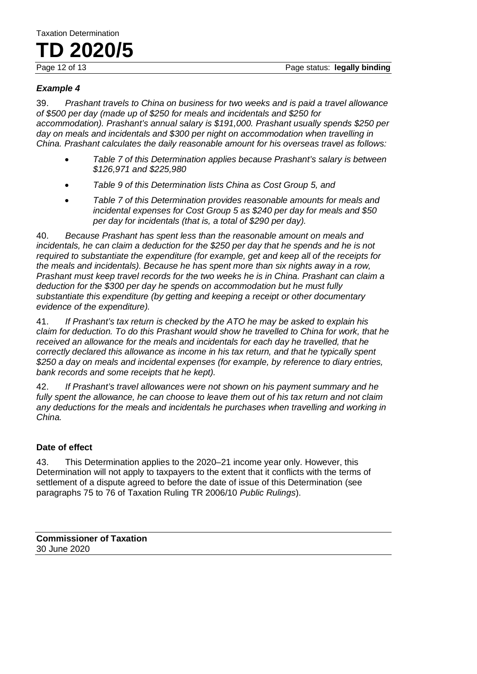## Taxation Determination **TD 2020/5**

#### *Example 4*

39. *Prashant travels to China on business for two weeks and is paid a travel allowance of \$500 per day (made up of \$250 for meals and incidentals and \$250 for accommodation). Prashant's annual salary is \$191,000. Prashant usually spends \$250 per day on meals and incidentals and \$300 per night on accommodation when travelling in China. Prashant calculates the daily reasonable amount for his overseas travel as follows:*

- *Table 7 of this Determination applies because Prashant's salary is between \$126,971 and \$225,980*
- *Table 9 of this Determination lists China as Cost Group 5, and*
- *Table 7 of this Determination provides reasonable amounts for meals and incidental expenses for Cost Group 5 as \$240 per day for meals and \$50 per day for incidentals (that is, a total of \$290 per day).*

40. *Because Prashant has spent less than the reasonable amount on meals and incidentals, he can claim a deduction for the \$250 per day that he spends and he is not required to substantiate the expenditure (for example, get and keep all of the receipts for the meals and incidentals). Because he has spent more than six nights away in a row, Prashant must keep travel records for the two weeks he is in China. Prashant can claim a deduction for the \$300 per day he spends on accommodation but he must fully substantiate this expenditure (by getting and keeping a receipt or other documentary evidence of the expenditure).*

41. *If Prashant's tax return is checked by the ATO he may be asked to explain his claim for deduction. To do this Prashant would show he travelled to China for work, that he*  received an allowance for the meals and incidentals for each day he travelled, that he *correctly declared this allowance as income in his tax return, and that he typically spent \$250 a day on meals and incidental expenses (for example, by reference to diary entries, bank records and some receipts that he kept).*

42. *If Prashant's travel allowances were not shown on his payment summary and he fully spent the allowance, he can choose to leave them out of his tax return and not claim any deductions for the meals and incidentals he purchases when travelling and working in China.*

#### **Date of effect**

43. This Determination applies to the 2020–21 income year only. However, this Determination will not apply to taxpayers to the extent that it conflicts with the terms of settlement of a dispute agreed to before the date of issue of this Determination (see paragraphs 75 to 76 of Taxation Ruling TR 2006/10 *Public Rulings*).

**Commissioner of Taxation** 30 June 2020